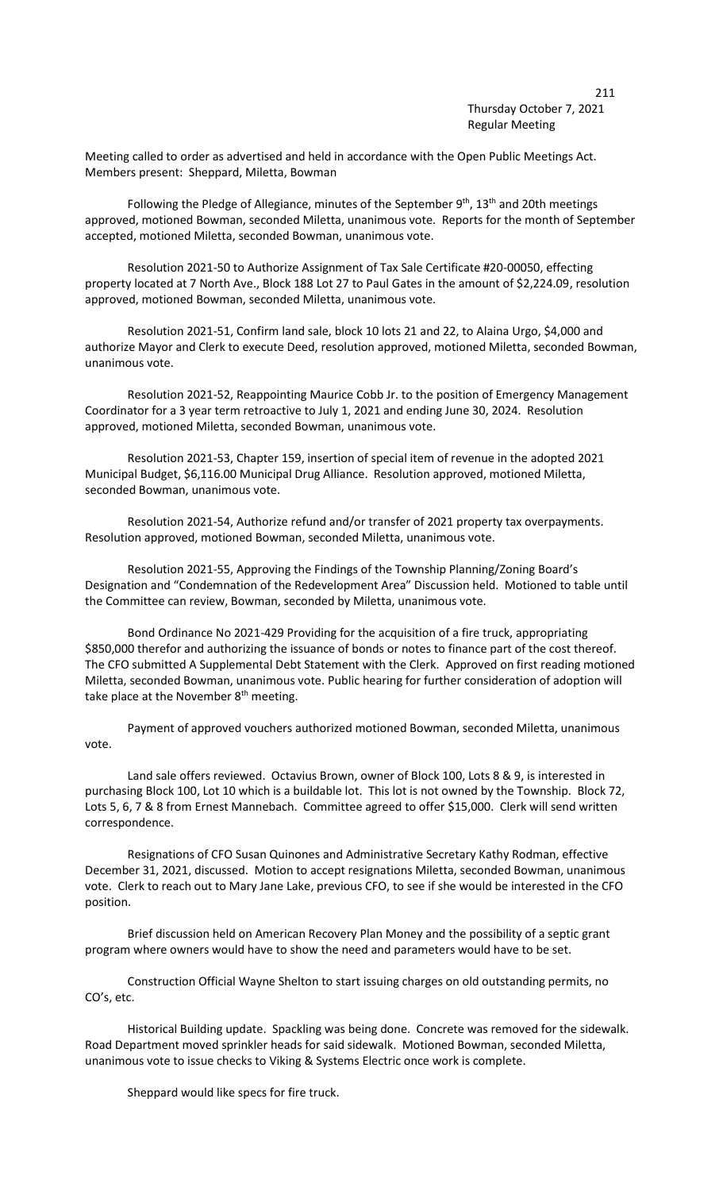## Thursday October 7, 2021 Regular Meeting

Meeting called to order as advertised and held in accordance with the Open Public Meetings Act. Members present: Sheppard, Miletta, Bowman

Following the Pledge of Allegiance, minutes of the September  $9<sup>th</sup>$ , 13<sup>th</sup> and 20th meetings approved, motioned Bowman, seconded Miletta, unanimous vote. Reports for the month of September accepted, motioned Miletta, seconded Bowman, unanimous vote.

Resolution 2021-50 to Authorize Assignment of Tax Sale Certificate #20-00050, effecting property located at 7 North Ave., Block 188 Lot 27 to Paul Gates in the amount of \$2,224.09, resolution approved, motioned Bowman, seconded Miletta, unanimous vote.

Resolution 2021-51, Confirm land sale, block 10 lots 21 and 22, to Alaina Urgo, \$4,000 and authorize Mayor and Clerk to execute Deed, resolution approved, motioned Miletta, seconded Bowman, unanimous vote.

Resolution 2021-52, Reappointing Maurice Cobb Jr. to the position of Emergency Management Coordinator for a 3 year term retroactive to July 1, 2021 and ending June 30, 2024. Resolution approved, motioned Miletta, seconded Bowman, unanimous vote.

Resolution 2021-53, Chapter 159, insertion of special item of revenue in the adopted 2021 Municipal Budget, \$6,116.00 Municipal Drug Alliance. Resolution approved, motioned Miletta, seconded Bowman, unanimous vote.

Resolution 2021-54, Authorize refund and/or transfer of 2021 property tax overpayments. Resolution approved, motioned Bowman, seconded Miletta, unanimous vote.

Resolution 2021-55, Approving the Findings of the Township Planning/Zoning Board's Designation and "Condemnation of the Redevelopment Area" Discussion held. Motioned to table until the Committee can review, Bowman, seconded by Miletta, unanimous vote.

Bond Ordinance No 2021-429 Providing for the acquisition of a fire truck, appropriating \$850,000 therefor and authorizing the issuance of bonds or notes to finance part of the cost thereof. The CFO submitted A Supplemental Debt Statement with the Clerk. Approved on first reading motioned Miletta, seconded Bowman, unanimous vote. Public hearing for further consideration of adoption will take place at the November  $8<sup>th</sup>$  meeting.

Payment of approved vouchers authorized motioned Bowman, seconded Miletta, unanimous vote.

Land sale offers reviewed. Octavius Brown, owner of Block 100, Lots 8 & 9, is interested in purchasing Block 100, Lot 10 which is a buildable lot. This lot is not owned by the Township. Block 72, Lots 5, 6, 7 & 8 from Ernest Mannebach. Committee agreed to offer \$15,000. Clerk will send written correspondence.

Resignations of CFO Susan Quinones and Administrative Secretary Kathy Rodman, effective December 31, 2021, discussed. Motion to accept resignations Miletta, seconded Bowman, unanimous vote. Clerk to reach out to Mary Jane Lake, previous CFO, to see if she would be interested in the CFO position.

Brief discussion held on American Recovery Plan Money and the possibility of a septic grant program where owners would have to show the need and parameters would have to be set.

Construction Official Wayne Shelton to start issuing charges on old outstanding permits, no CO's, etc.

Historical Building update. Spackling was being done. Concrete was removed for the sidewalk. Road Department moved sprinkler heads for said sidewalk. Motioned Bowman, seconded Miletta, unanimous vote to issue checks to Viking & Systems Electric once work is complete.

Sheppard would like specs for fire truck.